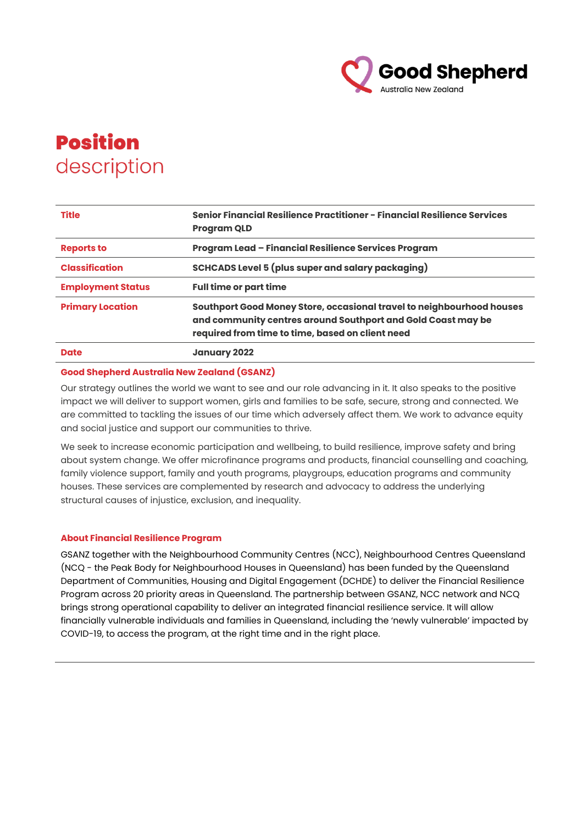

# **Position** description

| <b>Title</b>             | Senior Financial Resilience Practitioner - Financial Resilience Services<br><b>Program QLD</b>                                                                                            |
|--------------------------|-------------------------------------------------------------------------------------------------------------------------------------------------------------------------------------------|
| <b>Reports to</b>        | Program Lead - Financial Resilience Services Program                                                                                                                                      |
| <b>Classification</b>    | <b>SCHCADS Level 5 (plus super and salary packaging)</b>                                                                                                                                  |
| <b>Employment Status</b> | <b>Full time or part time</b>                                                                                                                                                             |
| <b>Primary Location</b>  | Southport Good Money Store, occasional travel to neighbourhood houses<br>and community centres around Southport and Gold Coast may be<br>required from time to time, based on client need |
| <b>Date</b>              | <b>January 2022</b>                                                                                                                                                                       |

## **Good Shepherd Australia New Zealand (GSANZ)**

Our strategy outlines the world we want to see and our role advancing in it. It also speaks to the positive impact we will deliver to support women, girls and families to be safe, secure, strong and connected. We are committed to tackling the issues of our time which adversely affect them. We work to advance equity and social justice and support our communities to thrive.

We seek to increase economic participation and wellbeing, to build resilience, improve safety and bring about system change. We offer microfinance programs and products, financial counselling and coaching, family violence support, family and youth programs, playgroups, education programs and community houses. These services are complemented by research and advocacy to address the underlying structural causes of injustice, exclusion, and inequality.

## **About Financial Resilience Program**

GSANZ together with the Neighbourhood Community Centres (NCC), Neighbourhood Centres Queensland (NCQ - the Peak Body for Neighbourhood Houses in Queensland) has been funded by the Queensland Department of Communities, Housing and Digital Engagement (DCHDE) to deliver the Financial Resilience Program across 20 priority areas in Queensland. The partnership between GSANZ, NCC network and NCQ brings strong operational capability to deliver an integrated financial resilience service. It will allow financially vulnerable individuals and families in Queensland, including the 'newly vulnerable' impacted by COVID-19, to access the program, at the right time and in the right place.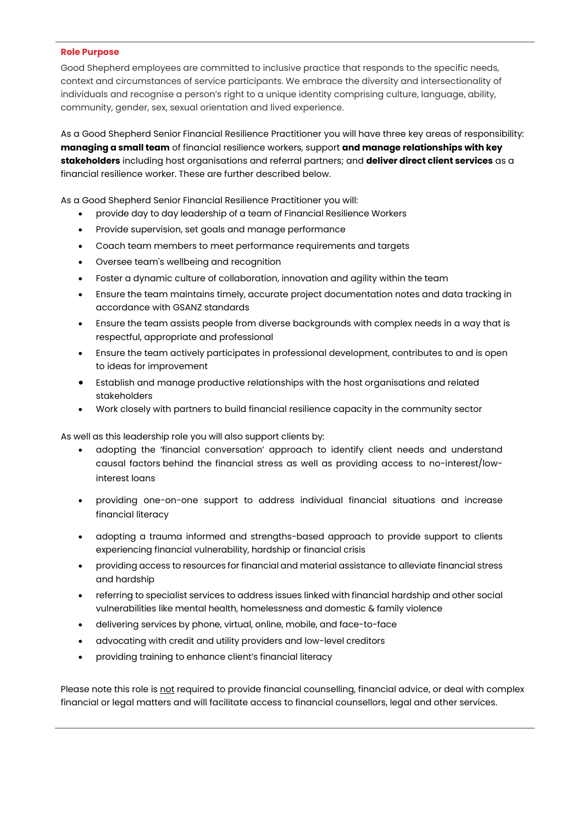#### **Role Purpose**

Good Shepherd employees are committed to inclusive practice that responds to the specific needs, context and circumstances of service participants. We embrace the diversity and intersectionality of individuals and recognise a person's right to a unique identity comprising culture, language, ability, community, gender, sex, sexual orientation and lived experience.

As a Good Shepherd Senior Financial Resilience Practitioner you will have three key areas of responsibility: **managing a small team** of financial resilience workers, support **and manage relationships with key stakeholders** including host organisations and referral partners; and **deliver direct client services** as a financial resilience worker. These are further described below.

As a Good Shepherd Senior Financial Resilience Practitioner you will:

- provide day to day leadership of a team of Financial Resilience Workers
- Provide supervision, set goals and manage performance
- Coach team members to meet performance requirements and targets
- Oversee team's wellbeing and recognition
- Foster a dynamic culture of collaboration, innovation and agility within the team
- Ensure the team maintains timely, accurate project documentation notes and data tracking in accordance with GSANZ standards
- Ensure the team assists people from diverse backgrounds with complex needs in a way that is respectful, appropriate and professional
- Ensure the team actively participates in professional development, contributes to and is open to ideas for improvement
- Establish and manage productive relationships with the host organisations and related stakeholders
- Work closely with partners to build financial resilience capacity in the community sector

As well as this leadership role you will also support clients by:

- adopting the 'financial conversation' approach to identify client needs and understand causal factors behind the financial stress as well as providing access to no-interest/lowinterest loans
- providing one-on-one support to address individual financial situations and increase financial literacy
- adopting a trauma informed and strengths-based approach to provide support to clients experiencing financial vulnerability, hardship or financial crisis
- providing access to resources for financial and material assistance to alleviate financial stress and hardship
- referring to specialist services to address issues linked with financial hardship and other social vulnerabilities like mental health, homelessness and domestic & family violence
- delivering services by phone, virtual, online, mobile, and face-to-face
- advocating with credit and utility providers and low-level creditors
- providing training to enhance client's financial literacy

Please note this role is not required to provide financial counselling, financial advice, or deal with complex financial or legal matters and will facilitate access to financial counsellors, legal and other services.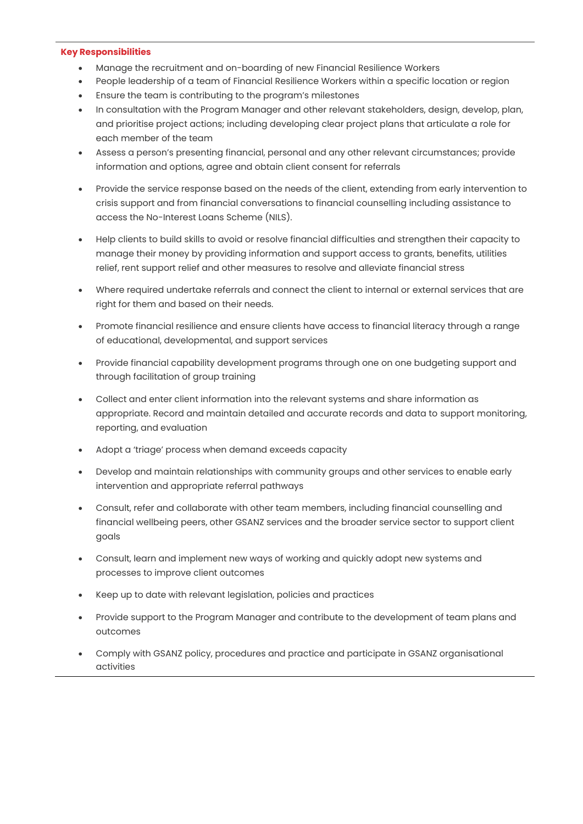#### **Key Responsibilities**

- Manage the recruitment and on-boarding of new Financial Resilience Workers
- People leadership of a team of Financial Resilience Workers within a specific location or region
- Ensure the team is contributing to the program's milestones
- In consultation with the Program Manager and other relevant stakeholders, design, develop, plan, and prioritise project actions; including developing clear project plans that articulate a role for each member of the team
- Assess a person's presenting financial, personal and any other relevant circumstances; provide information and options, agree and obtain client consent for referrals
- Provide the service response based on the needs of the client, extending from early intervention to crisis support and from financial conversations to financial counselling including assistance to access the No-Interest Loans Scheme (NILS).
- Help clients to build skills to avoid or resolve financial difficulties and strengthen their capacity to manage their money by providing information and support access to grants, benefits, utilities relief, rent support relief and other measures to resolve and alleviate financial stress
- Where required undertake referrals and connect the client to internal or external services that are right for them and based on their needs.
- Promote financial resilience and ensure clients have access to financial literacy through a range of educational, developmental, and support services
- Provide financial capability development programs through one on one budgeting support and through facilitation of group training
- Collect and enter client information into the relevant systems and share information as appropriate. Record and maintain detailed and accurate records and data to support monitoring, reporting, and evaluation
- Adopt a 'triage' process when demand exceeds capacity
- Develop and maintain relationships with community groups and other services to enable early intervention and appropriate referral pathways
- Consult, refer and collaborate with other team members, including financial counselling and financial wellbeing peers, other GSANZ services and the broader service sector to support client goals
- Consult, learn and implement new ways of working and quickly adopt new systems and processes to improve client outcomes
- Keep up to date with relevant legislation, policies and practices
- Provide support to the Program Manager and contribute to the development of team plans and outcomes
- Comply with GSANZ policy, procedures and practice and participate in GSANZ organisational activities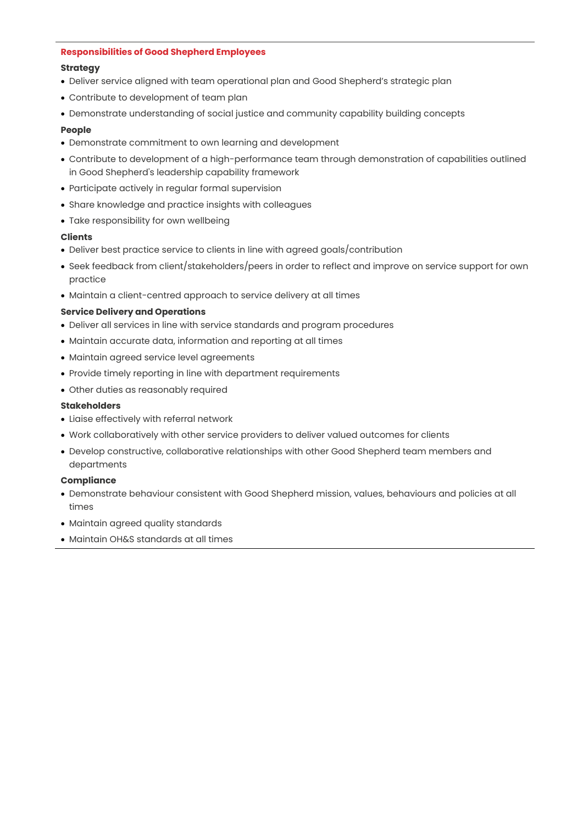#### **Responsibilities of Good Shepherd Employees**

## **Strategy**

- Deliver service aligned with team operational plan and Good Shepherd's strategic plan
- Contribute to development of team plan
- Demonstrate understanding of social justice and community capability building concepts

## **People**

- Demonstrate commitment to own learning and development
- Contribute to development of a high-performance team through demonstration of capabilities outlined in Good Shepherd's leadership capability framework
- Participate actively in regular formal supervision
- Share knowledge and practice insights with colleagues
- Take responsibility for own wellbeing

## **Clients**

- Deliver best practice service to clients in line with agreed goals/contribution
- Seek feedback from client/stakeholders/peers in order to reflect and improve on service support for own practice
- Maintain a client-centred approach to service delivery at all times

## **Service Delivery and Operations**

- Deliver all services in line with service standards and program procedures
- Maintain accurate data, information and reporting at all times
- Maintain agreed service level agreements
- Provide timely reporting in line with department requirements
- Other duties as reasonably required

## **Stakeholders**

- Liaise effectively with referral network
- Work collaboratively with other service providers to deliver valued outcomes for clients
- Develop constructive, collaborative relationships with other Good Shepherd team members and departments

## **Compliance**

- Demonstrate behaviour consistent with Good Shepherd mission, values, behaviours and policies at all times
- Maintain agreed quality standards
- Maintain OH&S standards at all times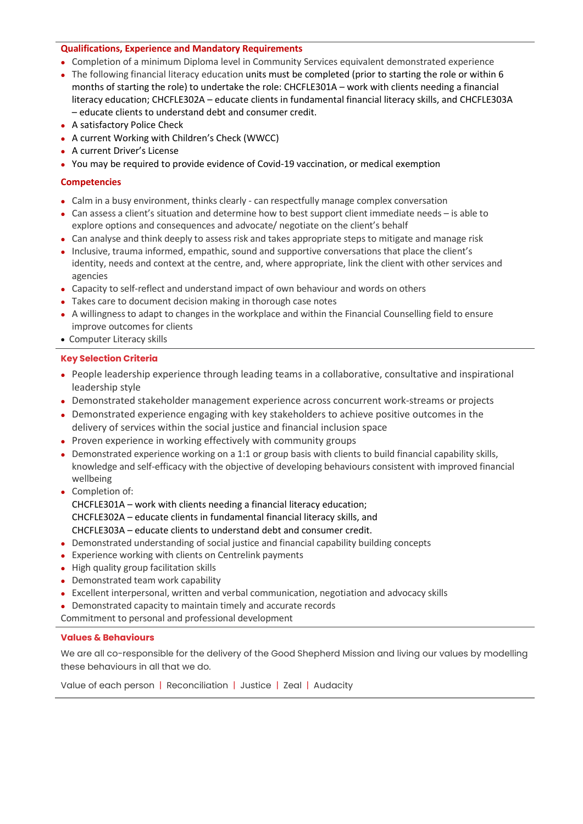## **Qualifications, Experience and Mandatory Requirements**

- ⚫ Completion of a minimum Diploma level in Community Services equivalent demonstrated experience
- ⚫ The following financial literacy education units must be completed (prior to starting the role or within 6 months of starting the role) to undertake the role: CHCFLE301A – work with clients needing a financial literacy education; CHCFLE302A – educate clients in fundamental financial literacy skills, and CHCFLE303A – educate clients to understand debt and consumer credit.
- ⚫ A satisfactory Police Check
- ⚫ A current Working with Children's Check (WWCC)
- ⚫ A current Driver's License
- ⚫ You may be required to provide evidence of Covid-19 vaccination, or medical exemption

# **Competencies**

- ⚫ Calm in a busy environment, thinks clearly can respectfully manage complex conversation
- ⚫ Can assess a client's situation and determine how to best support client immediate needs is able to explore options and consequences and advocate/ negotiate on the client's behalf
- ⚫ Can analyse and think deeply to assess risk and takes appropriate steps to mitigate and manage risk
- ⚫ Inclusive, trauma informed, empathic, sound and supportive conversations that place the client's identity, needs and context at the centre, and, where appropriate, link the client with other services and agencies
- ⚫ Capacity to self-reflect and understand impact of own behaviour and words on others
- Takes care to document decision making in thorough case notes
- ⚫ A willingness to adapt to changes in the workplace and within the Financial Counselling field to ensure improve outcomes for clients
- Computer Literacy skills

# **Key Selection Criteria**

- ⚫ People leadership experience through leading teams in a collaborative, consultative and inspirational leadership style
- ⚫ Demonstrated stakeholder management experience across concurrent work-streams or projects
- ⚫ Demonstrated experience engaging with key stakeholders to achieve positive outcomes in the delivery of services within the social justice and financial inclusion space
- ⚫ Proven experience in working effectively with community groups
- ⚫ Demonstrated experience working on a 1:1 or group basis with clients to build financial capability skills, knowledge and self-efficacy with the objective of developing behaviours consistent with improved financial wellbeing
- Completion of: CHCFLE301A – work with clients needing a financial literacy education; CHCFLE302A – educate clients in fundamental financial literacy skills, and CHCFLE303A – educate clients to understand debt and consumer credit.
- ⚫ Demonstrated understanding of social justice and financial capability building concepts
- ⚫ Experience working with clients on Centrelink payments
- ⚫ High quality group facilitation skills
- ⚫ Demonstrated team work capability
- ⚫ Excellent interpersonal, written and verbal communication, negotiation and advocacy skills
- ⚫ Demonstrated capacity to maintain timely and accurate records

Commitment to personal and professional development

# **Values & Behaviours**

We are all co-responsible for the delivery of the Good Shepherd Mission and living our values by modelling these behaviours in all that we do.

Value of each person | Reconciliation | Justice | Zeal | Audacity